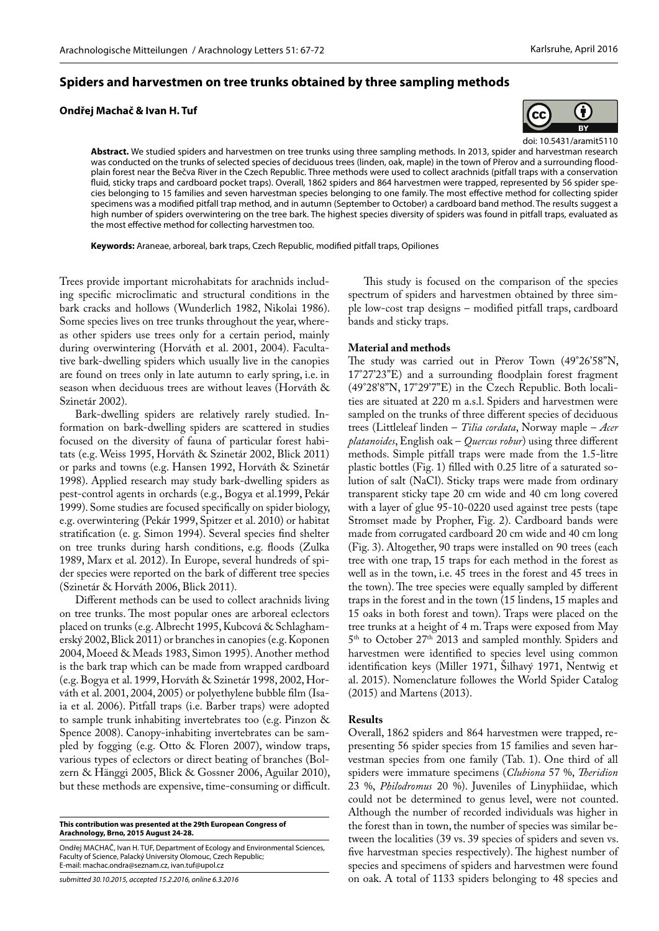## **Spiders and harvestmen on tree trunks obtained by three sampling methods**

**Ondřej Machač & Ivan H. Tuf**



doi: 10.5431/aramit5110 **Abstract.** We studied spiders and harvestmen on tree trunks using three sampling methods. In 2013, spider and harvestman research was conducted on the trunks of selected species of deciduous trees (linden, oak, maple) in the town of Přerov and a surrounding floodplain forest near the Bečva River in the Czech Republic. Three methods were used to collect arachnids (pitfall traps with a conservation fluid, sticky traps and cardboard pocket traps). Overall, 1862 spiders and 864 harvestmen were trapped, represented by 56 spider species belonging to 15 families and seven harvestman species belonging to one family. The most effective method for collecting spider specimens was a modified pitfall trap method, and in autumn (September to October) a cardboard band method. The results suggest a high number of spiders overwintering on the tree bark. The highest species diversity of spiders was found in pitfall traps, evaluated as the most effective method for collecting harvestmen too.

**Keywords:** Araneae, arboreal, bark traps, Czech Republic, modified pitfall traps, Opiliones

Trees provide important microhabitats for arachnids including specific microclimatic and structural conditions in the bark cracks and hollows (Wunderlich 1982, Nikolai 1986). Some species lives on tree trunks throughout the year, whereas other spiders use trees only for a certain period, mainly during overwintering (Horváth et al. 2001, 2004). Facultative bark-dwelling spiders which usually live in the canopies are found on trees only in late autumn to early spring, i.e. in season when deciduous trees are without leaves (Horváth & Szinetár 2002).

Bark-dwelling spiders are relatively rarely studied. Information on bark-dwelling spiders are scattered in studies focused on the diversity of fauna of particular forest habitats (e.g. Weiss 1995, Horváth & Szinetár 2002, Blick 2011) or parks and towns (e.g. Hansen 1992, Horváth & Szinetár 1998). Applied research may study bark-dwelling spiders as pest-control agents in orchards (e.g., Bogya et al.1999, Pekár 1999). Some studies are focused specifically on spider biology, e.g. overwintering (Pekár 1999, Spitzer et al. 2010) or habitat stratification (e. g. Simon 1994). Several species find shelter on tree trunks during harsh conditions, e.g. floods (Zulka 1989, Marx et al. 2012). In Europe, several hundreds of spider species were reported on the bark of different tree species (Szinetár & Horváth 2006, Blick 2011).

Different methods can be used to collect arachnids living on tree trunks. The most popular ones are arboreal eclectors placed on trunks (e.g. Albrecht 1995, Kubcová & Schlaghamerský 2002, Blick 2011) or branches in canopies (e.g. Koponen 2004, Moeed & Meads 1983, Simon 1995). Another method is the bark trap which can be made from wrapped cardboard (e.g. Bogya et al. 1999, Horváth & Szinetár 1998, 2002, Horváth et al. 2001, 2004, 2005) or polyethylene bubble film (Isaia et al. 2006). Pitfall traps (i.e. Barber traps) were adopted to sample trunk inhabiting invertebrates too (e.g. Pinzon & Spence 2008). Canopy-inhabiting invertebrates can be sampled by fogging (e.g. Otto & Floren 2007), window traps, various types of eclectors or direct beating of branches (Bolzern & Hänggi 2005, Blick & Gossner 2006, Aguilar 2010), but these methods are expensive, time-consuming or difficult.

**This contribution was presented at the 29th European Congress of Arachnology, Brno, 2015 August 24-28.**

Ondřej Machač, Ivan H. Tuf, Department of Ecology and Environmental Sciences, Faculty of Science, Palacký University Olomouc, Czech Republic; E-mail: machac.ondra@seznam.cz, ivan.tuf@upol.cz

This study is focused on the comparison of the species spectrum of spiders and harvestmen obtained by three simple low-cost trap designs – modified pitfall traps, cardboard bands and sticky traps.

#### **Material and methods**

The study was carried out in Přerov Town (49°26'58"N, 17°27'23"E) and a surrounding floodplain forest fragment (49°28'8"N, 17°29'7"E) in the Czech Republic. Both localities are situated at 220 m a.s.l. Spiders and harvestmen were sampled on the trunks of three different species of deciduous trees (Littleleaf linden – *Tilia cordata*, Norway maple – *Acer platanoides*, English oak – *Quercus robur*) using three different methods. Simple pitfall traps were made from the 1.5-litre plastic bottles (Fig. 1) filled with 0.25 litre of a saturated solution of salt (NaCl). Sticky traps were made from ordinary transparent sticky tape 20 cm wide and 40 cm long covered with a layer of glue 95-10-0220 used against tree pests (tape Stromset made by Propher, Fig. 2). Cardboard bands were made from corrugated cardboard 20 cm wide and 40 cm long (Fig. 3). Altogether, 90 traps were installed on 90 trees (each tree with one trap, 15 traps for each method in the forest as well as in the town, i.e. 45 trees in the forest and 45 trees in the town). The tree species were equally sampled by different traps in the forest and in the town (15 lindens, 15 maples and 15 oaks in both forest and town). Traps were placed on the tree trunks at a height of 4 m. Traps were exposed from May 5<sup>th</sup> to October 27<sup>th</sup> 2013 and sampled monthly. Spiders and harvestmen were identified to species level using common identification keys (Miller 1971, Šilhavý 1971, Nentwig et al. 2015). Nomenclature followes the World Spider Catalog (2015) and Martens (2013).

### **Results**

Overall, 1862 spiders and 864 harvestmen were trapped, representing 56 spider species from 15 families and seven harvestman species from one family (Tab. 1). One third of all spiders were immature specimens (*Clubiona* 57 %, *Theridion* 23 %, *Philodromus* 20 %). Juveniles of Linyphiidae, which could not be determined to genus level, were not counted. Although the number of recorded individuals was higher in the forest than in town, the number of species was similar between the localities (39 vs. 39 species of spiders and seven vs. five harvestman species respectively). The highest number of species and specimens of spiders and harvestmen were found on oak. A total of 1133 spiders belonging to 48 species and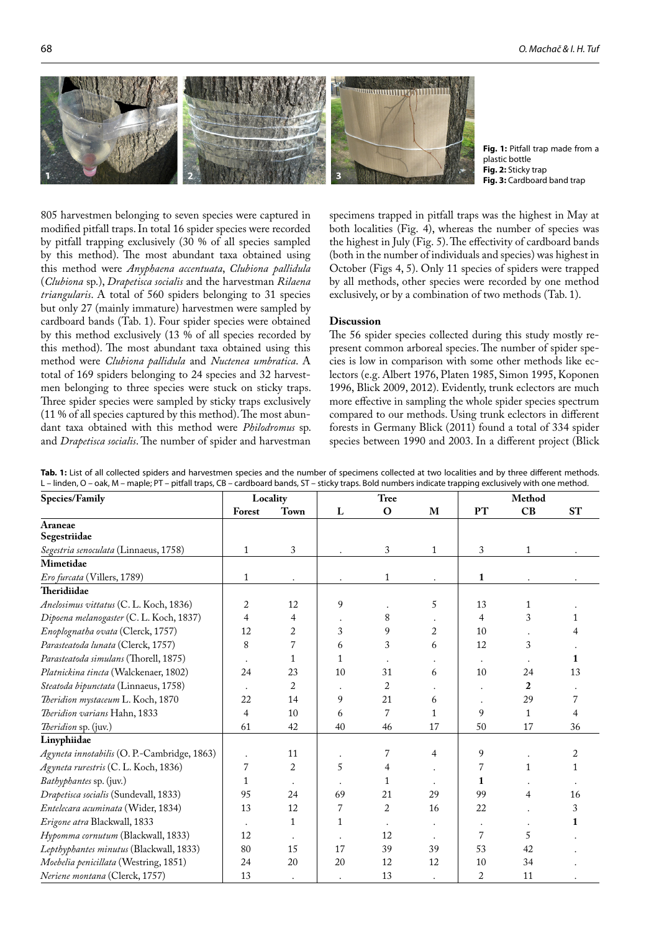

**Fig. 1:** Pitfall trap made from a plastic bottle **Fig. 2:** Sticky trap **Fig. 3:** Cardboard band trap

805 harvestmen belonging to seven species were captured in modified pitfall traps. In total 16 spider species were recorded by pitfall trapping exclusively (30 % of all species sampled by this method). The most abundant taxa obtained using this method were *Anyphaena accentuata*, *Clubiona pallidula* (*Clubiona* sp.), *Drapetisca socialis* and the harvestman *Rilaena triangularis*. A total of 560 spiders belonging to 31 species but only 27 (mainly immature) harvestmen were sampled by cardboard bands (Tab. 1). Four spider species were obtained by this method exclusively (13 % of all species recorded by this method). The most abundant taxa obtained using this method were *Clubiona pallidula* and *Nuctenea umbratica*. A total of 169 spiders belonging to 24 species and 32 harvestmen belonging to three species were stuck on sticky traps. Three spider species were sampled by sticky traps exclusively (11 % of all species captured by this method). The most abundant taxa obtained with this method were *Philodromus* sp. and *Drapetisca socialis*. The number of spider and harvestman

specimens trapped in pitfall traps was the highest in May at both localities (Fig. 4), whereas the number of species was the highest in July (Fig. 5). The effectivity of cardboard bands (both in the number of individuals and species) was highest in October (Figs 4, 5). Only 11 species of spiders were trapped by all methods, other species were recorded by one method exclusively, or by a combination of two methods (Tab. 1).

#### **Discussion**

The 56 spider species collected during this study mostly represent common arboreal species. The number of spider species is low in comparison with some other methods like eclectors (e.g. Albert 1976, Platen 1985, Simon 1995, Koponen 1996, Blick 2009, 2012). Evidently, trunk eclectors are much more effective in sampling the whole spider species spectrum compared to our methods. Using trunk eclectors in different forests in Germany Blick (2011) found a total of 334 spider species between 1990 and 2003. In a different project (Blick

| Species/Family                              | Locality     |              | <b>Tree</b> |                |              | Method    |              |           |
|---------------------------------------------|--------------|--------------|-------------|----------------|--------------|-----------|--------------|-----------|
|                                             | Forest       | Town         | L           | $\mathbf O$    | M            | <b>PT</b> | CB           | <b>ST</b> |
| Araneae                                     |              |              |             |                |              |           |              |           |
| Segestriidae                                |              |              |             |                |              |           |              |           |
| Segestria senoculata (Linnaeus, 1758)       | $\mathbf{1}$ | 3            |             | $\sqrt{3}$     | $\mathbf{1}$ | 3         | 1            |           |
| Mimetidae                                   |              |              |             |                |              |           |              |           |
| Ero furcata (Villers, 1789)                 | $\mathbf{1}$ | $\bullet$    |             | $\mathbf{1}$   |              | 1         |              |           |
| Theridiidae                                 |              |              |             |                |              |           |              |           |
| Anelosimus vittatus (C. L. Koch, 1836)      | 2            | 12           | 9           |                | 5            | 13        | 1            |           |
| Dipoena melanogaster (C. L. Koch, 1837)     | 4            | 4            |             | 8              |              | 4         | 3            |           |
| Enoplognatha ovata (Clerck, 1757)           | 12           | 2            | 3           | 9              | 2            | 10        |              |           |
| Parasteatoda lunata (Clerck, 1757)          | 8            | 7            | 6           | 3              | 6            | 12        | 3            |           |
| Parasteatoda simulans (Thorell, 1875)       |              | $\mathbf{1}$ | 1           |                |              | $\bullet$ |              | 1         |
| Platnickina tincta (Walckenaer, 1802)       | 24           | 23           | 10          | 31             | 6            | 10        | 24           | 13        |
| Steatoda bipunctata (Linnaeus, 1758)        |              | 2            |             | 2              |              |           | 2            |           |
| Theridion mystaceum L. Koch, 1870           | 22           | 14           | 9           | 21             | 6            |           | 29           | 7         |
| Theridion varians Hahn, 1833                | 4            | 10           | 6           | 7              | 1            | 9         | $\mathbf{1}$ | 4         |
| Theridion sp. (juv.)                        | 61           | 42           | 40          | 46             | 17           | 50        | 17           | 36        |
| Linyphiidae                                 |              |              |             |                |              |           |              |           |
| Agyneta innotabilis (O. P.-Cambridge, 1863) |              | 11           |             | $\overline{7}$ | 4            | 9         |              | 2         |
| Agyneta rurestris (C. L. Koch, 1836)        | 7            | 2            | 5           | 4              |              | 7         | 1            | 1         |
| Bathyphantes sp. (juv.)                     | $\mathbf{1}$ |              |             | 1              |              | 1         |              |           |
| Drapetisca socialis (Sundevall, 1833)       | 95           | 24           | 69          | 21             | 29           | 99        | 4            | 16        |
| Entelecara acuminata (Wider, 1834)          | 13           | 12           | 7           | $\overline{2}$ | 16           | 22        |              | 3         |
| Erigone atra Blackwall, 1833                |              | $\mathbf{1}$ | 1           |                |              |           |              |           |
| Hypomma cornutum (Blackwall, 1833)          | 12           |              |             | 12             |              | 7         | 5            |           |
| Lepthyphantes minutus (Blackwall, 1833)     | 80           | 15           | 17          | 39             | 39           | 53        | 42           |           |
| Moebelia penicillata (Westring, 1851)       | 24           | 20           | 20          | 12             | 12           | 10        | 34           |           |
| Neriene montana (Clerck, 1757)              | 13           |              |             | 13             |              | 2         | 11           |           |

**Tab. 1:** List of all collected spiders and harvestmen species and the number of specimens collected at two localities and by three different methods. L – linden, O – oak, M – maple; PT – pitfall traps, CB – cardboard bands, ST – sticky traps. Bold numbers indicate trapping exclusively with one method.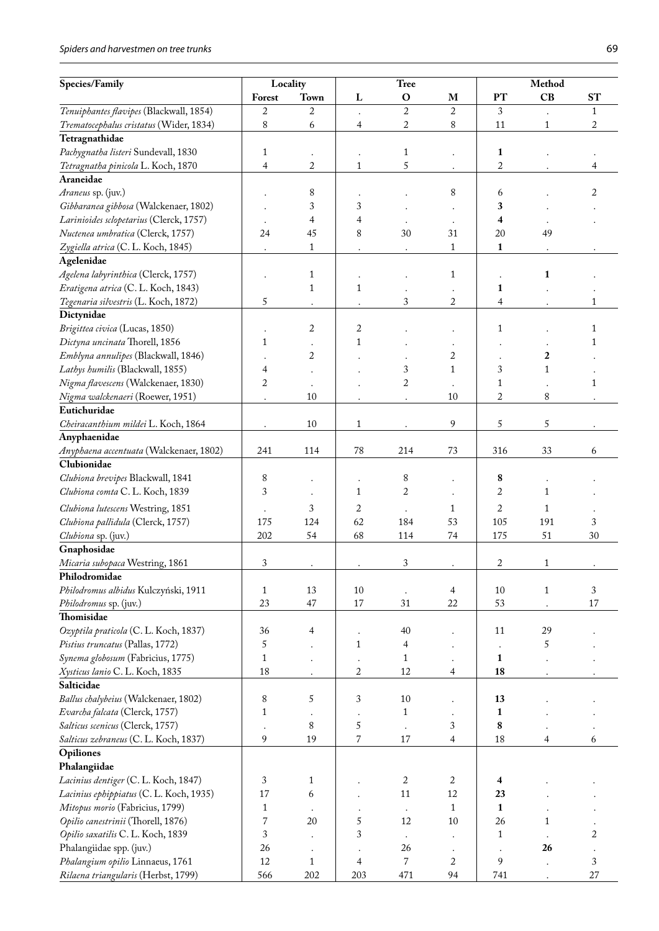# *Spiders and harvestmen on tree trunks* 69

| Species/Family                          | Locality     |                      | <b>Tree</b>  |                      |                | Method                  |              |              |
|-----------------------------------------|--------------|----------------------|--------------|----------------------|----------------|-------------------------|--------------|--------------|
|                                         | Forest       | Town                 | L            | $\mathbf O$          | M              | PT                      | CB           | <b>ST</b>    |
| Tenuiphantes flavipes (Blackwall, 1854) | 2            | $\overline{2}$       |              | $\overline{2}$       | $\overline{2}$ | 3                       |              | 1            |
| Trematocephalus cristatus (Wider, 1834) | 8            | 6                    | 4            | 2                    | 8              | 11                      | $\mathbf{1}$ | 2            |
| Tetragnathidae                          |              |                      |              |                      |                |                         |              |              |
| Pachygnatha listeri Sundevall, 1830     | 1            |                      |              | 1                    |                | 1                       |              |              |
| Tetragnatha pinicola L. Koch, 1870      | 4            | 2                    | $\mathbf{1}$ | 5                    |                | $\boldsymbol{2}$        |              | 4            |
| Araneidae                               |              |                      |              |                      |                |                         |              |              |
| Araneus sp. (juv.)                      |              | 8                    |              |                      | 8              | 6                       |              | 2            |
| Gibbaranea gibbosa (Walckenaer, 1802)   |              | 3                    | 3            |                      |                | 3                       |              |              |
| Larinioides sclopetarius (Clerck, 1757) |              | 4                    | 4            |                      |                | $\overline{\mathbf{4}}$ |              |              |
| Nuctenea umbratica (Clerck, 1757)       | 24           | 45                   | 8            | 30                   | 31             | 20                      | 49           |              |
| Zygiella atrica (C. L. Koch, 1845)      |              | 1                    |              |                      | $\mathbf{1}$   | 1                       |              |              |
| Agelenidae                              |              |                      |              |                      |                |                         |              |              |
|                                         |              |                      |              |                      |                |                         |              |              |
| Agelena labyrinthica (Clerck, 1757)     |              | $\mathbf{1}$         |              |                      | 1              |                         | 1            |              |
| Eratigena atrica (C. L. Koch, 1843)     |              | $\mathbf{1}$         | $\mathbf{1}$ |                      |                | 1                       |              |              |
| Tegenaria silvestris (L. Koch, 1872)    | 5            | $\ddot{\phantom{0}}$ |              | 3                    | 2              | 4                       |              | 1            |
| Dictynidae                              |              |                      |              |                      |                |                         |              |              |
| Brigittea civica (Lucas, 1850)          |              | 2                    | 2            |                      |                | 1                       |              | $\mathbf{1}$ |
| Dictyna uncinata Thorell, 1856          | 1            |                      | 1            |                      |                |                         |              | 1            |
| Emblyna annulipes (Blackwall, 1846)     |              | 2                    |              |                      | 2              |                         | 2            |              |
| Lathys humilis (Blackwall, 1855)        | 4            |                      |              | 3                    | 1              | 3                       | $\mathbf{1}$ |              |
| Nigma flavescens (Walckenaer, 1830)     | 2            |                      |              | 2                    |                | 1                       |              | 1            |
| Nigma walckenaeri (Roewer, 1951)        |              | 10                   |              |                      | 10             | 2                       | 8            |              |
| Eutichuridae                            |              |                      |              |                      |                |                         |              |              |
| Cheiracanthium mildei L. Koch, 1864     |              | $10\,$               | 1            |                      | 9              | 5                       | 5            |              |
| Anyphaenidae                            |              |                      |              |                      |                |                         |              |              |
| Anyphaena accentuata (Walckenaer, 1802) | 241          | 114                  | $78\,$       | 214                  | 73             | 316                     | 33           | 6            |
| Clubionidae                             |              |                      |              |                      |                |                         |              |              |
| Clubiona brevipes Blackwall, 1841       | $\,8$        |                      |              | 8                    |                | 8                       |              |              |
| Clubiona comta C. L. Koch, 1839         | 3            |                      | 1            | 2                    |                | 2                       | $\mathbf{1}$ |              |
|                                         |              |                      |              |                      |                |                         |              |              |
| Clubiona lutescens Westring, 1851       |              | 3                    | 2            |                      | 1              | 2                       | 1            |              |
| Clubiona pallidula (Clerck, 1757)       | 175          | 124                  | 62           | 184                  | 53             | 105                     | 191          | 3            |
| Clubiona sp. (juv.)                     | 202          | 54                   | 68           | 114                  | 74             | 175                     | 51           | 30           |
| Gnaphosidae                             |              |                      |              |                      |                |                         |              |              |
| Micaria subopaca Westring, 1861         | 3            |                      |              | 3                    |                | 2                       | 1            |              |
| Philodromidae                           |              |                      |              |                      |                |                         |              |              |
| Philodromus albidus Kulczyński, 1911    | $\mathbf{1}$ | 13                   | 10           |                      | 4              | $10\,$                  | $\mathbf{1}$ | 3            |
| Philodromus sp. (juv.)                  | 23           | $47\,$               | 17           | 31                   | 22             | 53                      |              | 17           |
| Thomisidae                              |              |                      |              |                      |                |                         |              |              |
| Ozyptila praticola (C. L. Koch, 1837)   | 36           | 4                    |              | 40                   |                | 11                      | 29           |              |
| Pistius truncatus (Pallas, 1772)        | 5            |                      | $\mathbf{1}$ | 4                    |                |                         | 5            |              |
| Synema globosum (Fabricius, 1775)       | $\mathbf{1}$ |                      |              | 1                    |                | 1                       |              |              |
| Xysticus lanio C. L. Koch, 1835         | 18           |                      | 2            | 12                   | 4              | 18                      |              |              |
| Salticidae                              |              |                      |              |                      |                |                         |              |              |
| Ballus chalybeius (Walckenaer, 1802)    | 8            | 5                    | 3            | 10                   |                | 13                      |              |              |
| Evarcha falcata (Clerck, 1757)          | 1            |                      |              | $\mathbf{1}$         |                | 1                       |              |              |
| Salticus scenicus (Clerck, 1757)        |              | 8                    | 5            | $\cdot$              | 3              | 8                       |              |              |
| Salticus zebraneus (C. L. Koch, 1837)   | 9            | 19                   | 7            | $17\,$               | 4              | 18                      | 4            | 6            |
| Opiliones                               |              |                      |              |                      |                |                         |              |              |
| Phalangiidae                            |              |                      |              |                      |                |                         |              |              |
| Lacinius dentiger (C. L. Koch, 1847)    | 3            | $\mathbf{1}$         |              | $\sqrt{2}$           | 2              | 4                       |              |              |
| Lacinius ephippiatus (C. L. Koch, 1935) | 17           | 6                    |              | 11                   | 12             | 23                      |              |              |
| Mitopus morio (Fabricius, 1799)         | 1            |                      |              |                      | 1              | 1                       |              |              |
| Opilio canestrinii (Thorell, 1876)      | 7            | 20                   | 5            | $\cdot$<br>12        | 10             | 26                      | 1            |              |
|                                         | 3            |                      |              |                      |                |                         |              |              |
| Opilio saxatilis C. L. Koch, 1839       |              |                      | 3            | $\ddot{\phantom{0}}$ | $\bullet$      | $\mathbf{1}$            |              | 2            |
| Phalangiidae spp. (juv.)                | 26           | $\bullet$            | ٠            | 26                   |                | $\bullet$               | 26           |              |
| Phalangium opilio Linnaeus, 1761        | 12           | $\mathbf{1}$         | 4            | 7                    | 2              | 9                       |              | 3            |
| Rilaena triangularis (Herbst, 1799)     | 566          | 202                  | 203          | 471                  | 94             | 741                     |              | $27\,$       |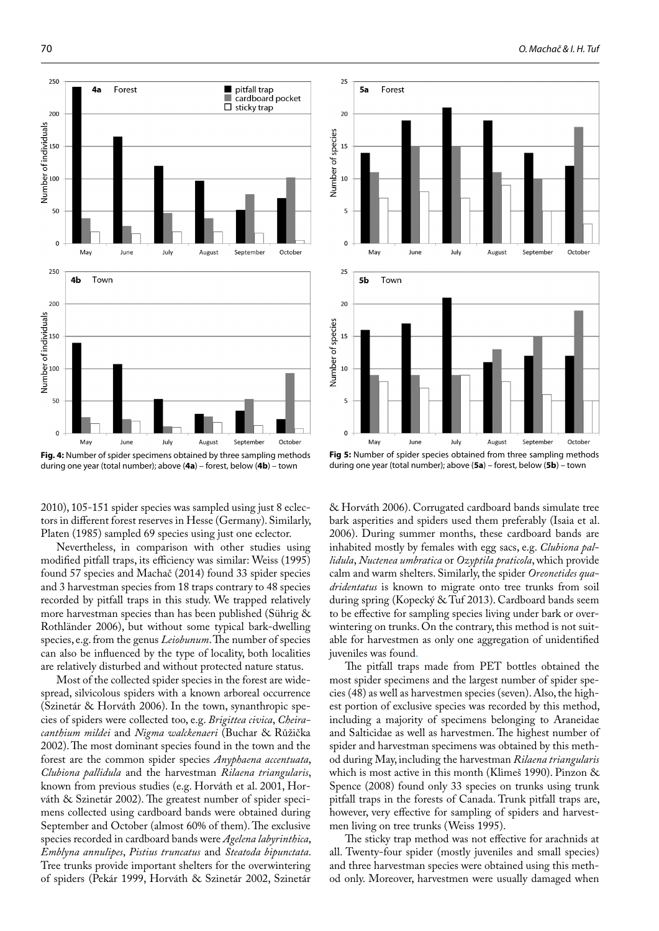

**Fig. 4:** Number of spider specimens obtained by three sampling methods during one year (total number); above (**4a**) – forest, below (**4b**) – town

2010), 105-151 spider species was sampled using just 8 eclectors in different forest reserves in Hesse (Germany). Similarly, Platen (1985) sampled 69 species using just one eclector.

Nevertheless, in comparison with other studies using modified pitfall traps, its efficiency was similar: Weiss (1995) found 57 species and Machač (2014) found 33 spider species and 3 harvestman species from 18 traps contrary to 48 species recorded by pitfall traps in this study. We trapped relatively more harvestman species than has been published (Sührig & Rothländer 2006), but without some typical bark-dwelling species, e.g. from the genus *Leiobunum*. The number of species can also be influenced by the type of locality, both localities are relatively disturbed and without protected nature status.

Most of the collected spider species in the forest are widespread, silvicolous spiders with a known arboreal occurrence (Szinetár & Horváth 2006). In the town, synanthropic species of spiders were collected too, e.g. *Brigittea civica*, *Cheiracanthium mildei* and *Nigma walckenaeri* (Buchar & Růžička 2002). The most dominant species found in the town and the forest are the common spider species *Anyphaena accentuata*, *Clubiona pallidula* and the harvestman *Rilaena triangularis*, known from previous studies (e.g. Horváth et al. 2001, Horváth & Szinetár 2002). The greatest number of spider specimens collected using cardboard bands were obtained during September and October (almost 60% of them). The exclusive species recorded in cardboard bands were *Agelena labyrinthica*, *Emblyna annulipes*, *Pistius truncatus* and *Steatoda bipunctata*. Tree trunks provide important shelters for the overwintering of spiders (Pekár 1999, Horváth & Szinetár 2002, Szinetár



**Fig 5:** Number of spider species obtained from three sampling methods during one year (total number); above (**5a**) – forest, below (**5b**) – town

& Horváth 2006). Corrugated cardboard bands simulate tree bark asperities and spiders used them preferably (Isaia et al. 2006). During summer months, these cardboard bands are inhabited mostly by females with egg sacs, e.g. *Clubiona pallidula*, *Nuctenea umbratica* or *Ozyptila praticola*, which provide calm and warm shelters. Similarly, the spider *Oreonetides quadridentatus* is known to migrate onto tree trunks from soil during spring (Kopecký & Tuf 2013). Cardboard bands seem to be effective for sampling species living under bark or overwintering on trunks. On the contrary, this method is not suitable for harvestmen as only one aggregation of unidentified juveniles was found.

The pitfall traps made from PET bottles obtained the most spider specimens and the largest number of spider species (48) as well as harvestmen species (seven).Also, the highest portion of exclusive species was recorded by this method, including a majority of specimens belonging to Araneidae and Salticidae as well as harvestmen. The highest number of spider and harvestman specimens was obtained by this method during May, including the harvestman *Rilaena triangularis* which is most active in this month (Klimeš 1990). Pinzon & Spence (2008) found only 33 species on trunks using trunk pitfall traps in the forests of Canada. Trunk pitfall traps are, however, very effective for sampling of spiders and harvestmen living on tree trunks (Weiss 1995).

The sticky trap method was not effective for arachnids at all. Twenty-four spider (mostly juveniles and small species) and three harvestman species were obtained using this method only. Moreover, harvestmen were usually damaged when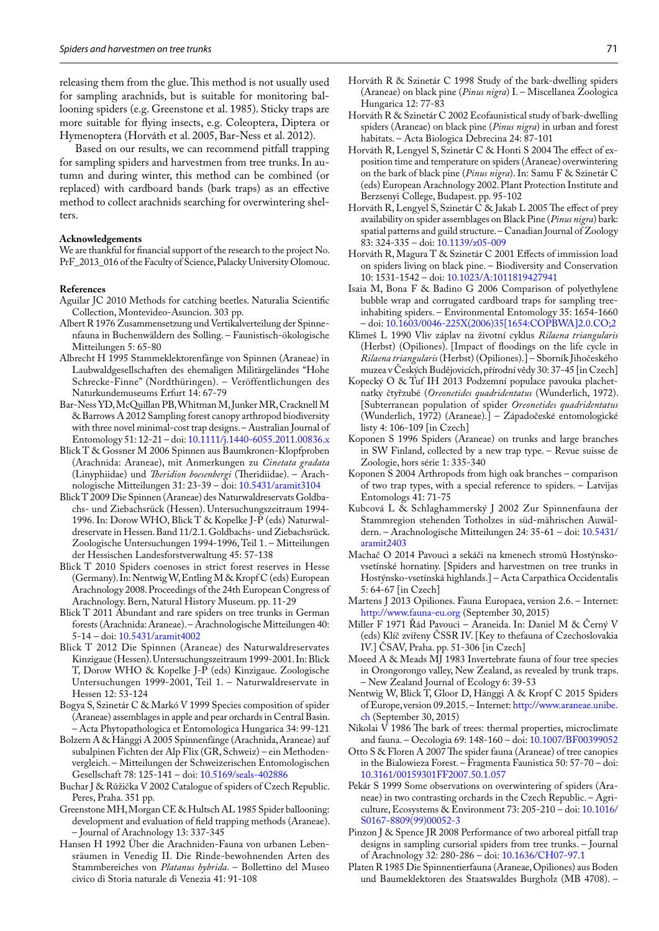releasing them from the glue. This method is not usually used for sampling arachnids, but is suitable for monitoring ballooning spiders (e.g. Greenstone et al. 1985). Sticky traps are more suitable for flying insects, e.g. Coleoptera, Diptera or Hymenoptera (Horváth et al. 2005, Bar-Ness et al. 2012).

Based on our results, we can recommend pitfall trapping for sampling spiders and harvestmen from tree trunks. In autumn and during winter, this method can be combined (or replaced) with cardboard bands (bark traps) as an effective method to collect arachnids searching for overwintering shelters.

#### **Acknowledgements**

We are thankful for financial support of the research to the project No. PrF\_2013\_016 of the Faculty of Science, Palacky University Olomouc.

#### **References**

- Aguilar JC 2010 Methods for catching beetles. Naturalia Scientific Collection, Montevideo-Asuncion. 303 pp.
- Albert R 1976 Zusammensetzung und Vertikalverteilung der Spinnenfauna in Buchenwäldern des Solling. – Faunistisch-ökologische Mitteilungen 5: 65-80
- Albrecht H 1995 Stammeklektorenfänge von Spinnen (Araneae) in Laubwaldgesellschaften des ehemaligen Militärgeländes "Hohe Schrecke-Finne" (Nordthüringen). – Veröffentlichungen des Naturkundemuseums Erfurt 14: 67-79
- Bar-Ness YD, McQuillan PB, Whitman M, Junker MR, Cracknell M & Barrows A 2012 Sampling forest canopy arthropod biodiversity with three novel minimal-cost trap designs. – Australian Journal of Entomology 51: 12-21 – doi: [10.1111/j.1440-6055.2011.00836.x](http://dx.doi.org/10.1111/j.1440-6055.2011.00836.x)
- Blick T & Gossner M 2006 Spinnen aus Baumkronen-Klopfproben (Arachnida: Araneae), mit Anmerkungen zu *Cinetata gradata* (Linyphiidae) und *Theridion boesenbergi* (Theridiidae). – Arachnologische Mitteilungen 31: 23-39 – doi: [10.5431/aramit3104](http://dx.doi.org/10.5431/aramit3104)
- Blick T 2009 Die Spinnen (Araneae) des Naturwaldreservats Goldbachs- und Ziebachsrück (Hessen). Untersuchungszeitraum 1994- 1996. In: Dorow WHO, Blick T & Kopelke J-P (eds) Naturwaldreservate in Hessen. Band 11/2.1. Goldbachs- und Ziebachsrück. Zoologische Untersuchungen 1994-1996, Teil 1. – Mitteilungen der Hessischen Landesforstverwaltung 45: 57-138
- Blick T 2010 Spiders coenoses in strict forest reserves in Hesse (Germany). In: Nentwig W, Entling M & Kropf C (eds) European Arachnology 2008. Proceedings of the 24th European Congress of Arachnology. Bern, Natural History Museum. pp. 11-29
- Blick T 2011 Abundant and rare spiders on tree trunks in German forests (Arachnida: Araneae). – Arachnologische Mitteilungen 40: 5-14 – doi: [10.5431/aramit4002](http://dx.doi.org/10.5431/aramit4002)
- Blick T 2012 Die Spinnen (Araneae) des Naturwaldreservates Kinzigaue (Hessen). Untersuchungszeitraum 1999-2001. In: Blick T, Dorow WHO & Kopelke J-P (eds) Kinzigaue. Zoologische Untersuchungen 1999-2001, Teil 1. – Naturwaldreservate in Hessen 12: 53-124
- Bogya S, Szinetár C & Markó V 1999 Species composition of spider (Araneae) assemblages in apple and pear orchards in Central Basin. – Acta Phytopathologica et Entomologica Hungarica 34: 99-121
- Bolzern A & Hänggi A 2005 Spinnenfänge (Arachnida, Araneae) auf subalpinen Fichten der Alp Flix (GR, Schweiz) – ein Methodenvergleich. – Mitteilungen der Schweizerischen Entomologischen Gesellschaft 78: 125-141 – doi: [10.5169/seals-402886](http://dx.doi.org/10.5169/seals-402886)
- Buchar J & Růžička V 2002 Catalogue of spiders of Czech Republic. Peres, Praha. 351 pp.
- Greenstone MH, Morgan CE & Hultsch AL 1985 Spider ballooning: development and evaluation of field trapping methods (Araneae). – Journal of Arachnology 13: 337-345
- Hansen H 1992 Über die Arachniden-Fauna von urbanen Lebensräumen in Venedig II. Die Rinde-bewohnenden Arten des Stammbereiches von *Platanus hybrida*. – Bollettino del Museo civico di Storia naturale di Venezia 41: 91-108
- Horváth R & Szinetár C 2002 Ecofaunistical study of bark-dwelling spiders (Araneae) on black pine (*Pinus nigra*) in urban and forest habitats. – Acta Biologica Debrecina 24: 87-101
- Horváth R, Lengyel S, Szinetár C & Honti S 2004 The effect of exposition time and temperature on spiders (Araneae) overwintering on the bark of black pine (*Pinus nigra*). In: Samu F & Szinetár C (eds) European Arachnology 2002. Plant Protection Institute and Berzsenyi College, Budapest. pp. 95-102
- Horváth R, Lengyel S, Szinetár C & Jakab L 2005 The effect of prey availability on spider assemblages on Black Pine (*Pinus nigra*) bark: spatial patterns and guild structure. – Canadian Journal of Zoology 83: 324-335 – doi: [10.1139/z05-009](http://dx.doi.org/10.1139/z05-009)
- Horváth R, Magura T & Szinetár C 2001 Effects of immission load on spiders living on black pine. – Biodiversity and Conservation 10: 1531-1542 – doi: [10.1023/A:1011819427941](http://dx.doi.org/10.1023/A:1011819427941)
- Isaia M, Bona F & Badino G 2006 Comparison of polyethylene bubble wrap and corrugated cardboard traps for sampling treeinhabiting spiders. – Environmental Entomology 35: 1654-1660 – doi: [10.1603/0046-225X\(2006\)35\[1654:COPBWA\]2.0.CO;2](http://dx.doi.org/10.1603/0046-225X(2006)35[1654:COPBWA]2.0.CO;2)
- Klimeš L 1990 Vliv záplav na životní cyklus *Rilaena triangularis* (Herbst) (Opiliones). [Impact of floodings on the life cycle in *Rilaena triangularis* (Herbst) (Opiliones).] – Sborník Jihočeského muzea v Českých Budějovicích, přírodní vědy 30: 37-45 [in Czech]
- Kopecký O & Tuf IH 2013 Podzemní populace pavouka plachetnatky čtyřzubé (*Oreonetides quadridentatus* (Wunderlich, 1972). [Subterranean population of spider *Oreonetides quadridentatus* (Wunderlich, 1972) (Araneae).] – Západočeské entomologické listy 4: 106-109 [in Czech]
- Koponen S 1996 Spiders (Araneae) on trunks and large branches in SW Finland, collected by a new trap type. – Revue suisse de Zoologie, hors série 1: 335-340
- Koponen S 2004 Arthropods from high oak branches comparison of two trap types, with a special reference to spiders. – Latvijas Entomologs 41: 71-75
- Kubcová L & Schlaghammerský J 2002 Zur Spinnenfauna der Stammregion stehenden Totholzes in süd-mährischen Auwäldern. – Arachnologische Mitteilungen 24: 35-61 – doi: [10.5431/](http://dx.doi.org/10.5431/aramit2403) [aramit2403](http://dx.doi.org/10.5431/aramit2403)
- Machač O 2014 Pavouci a sekáči na kmenech stromů Hostýnskovsetínské hornatiny. [Spiders and harvestmen on tree trunks in Hostýnsko-vsetínská highlands.] – Acta Carpathica Occidentalis 5: 64-67 [in Czech]
- Martens J 2013 Opiliones. Fauna Europaea, version 2.6. Internet: <http://www.fauna-eu.org> (September 30, 2015)
- Miller F 1971 Řád Pavouci Araneida. In: Daniel M & Černý V (eds) Klíč zvířeny ČSSR IV. [Key to thefauna of Czechoslovakia IV.] ČSAV, Praha. pp. 51-306 [in Czech]
- Moeed A & Meads MJ 1983 Invertebrate fauna of four tree species in Orongorongo valley, New Zealand, as revealed by trunk traps. – New Zealand Journal of Ecology 6: 39-53
- Nentwig W, Blick T, Gloor D, Hänggi A & Kropf C 2015 Spiders of Europe, version 09.2015. – Internet: [http://www.araneae.unibe.](http://www.araneae.unibe.ch) [ch](http://www.araneae.unibe.ch) (September 30, 2015)
- Nikolai V 1986 The bark of trees: thermal properties, microclimate and fauna. – Oecologia 69: 148-160 – doi: [10.1007/BF00399052](http://dx.doi.org/10.1007/BF00399052)
- Otto S & Floren A 2007 The spider fauna (Araneae) of tree canopies in the Bialowieza Forest. – Fragmenta Faunistica 50: 57-70 – doi: [10.3161/00159301FF2007.50.1.057](http://dx.doi.org/10.3161/00159301FF2007.50.1.057)
- Pekár S 1999 Some observations on overwintering of spiders (Araneae) in two contrasting orchards in the Czech Republic. – Agriculture, Ecosystems & Environment 73: 205-210 – doi: [10.1016/](http://dx.doi.org/10.1016/S0167-8809(99)00052-3) [S0167-8809\(99\)00052-3](http://dx.doi.org/10.1016/S0167-8809(99)00052-3)
- Pinzon J & Spence JR 2008 Performance of two arboreal pitfall trap designs in sampling cursorial spiders from tree trunks. – Journal of Arachnology 32: 280-286 – doi: <10.1636/CH07-97.1>
- Platen R 1985 Die Spinnentierfauna (Araneae, Opiliones) aus Boden und Baumeklektoren des Staatswaldes Burgholz (MB 4708). –